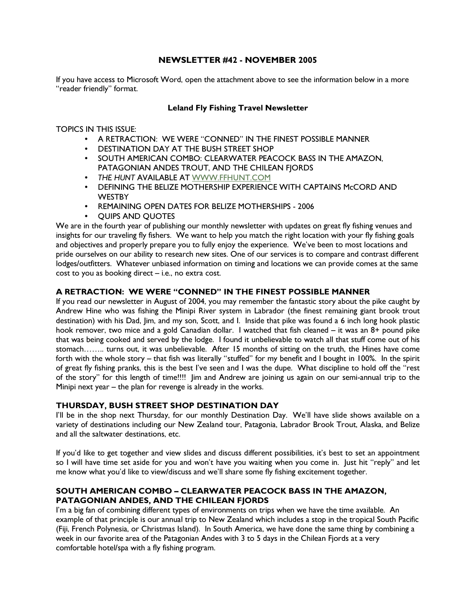# NEWSLETTER #42 - NOVEMBER 2005

If you have access to Microsoft Word, open the attachment above to see the information below in a more "reader friendly" format.

## Leland Fly Fishing Travel Newsletter

TOPICS IN THIS ISSUE:

- A RETRACTION: WE WERE "CONNED" IN THE FINEST POSSIBLE MANNER
- DESTINATION DAY AT THE BUSH STREET SHOP
- SOUTH AMERICAN COMBO: CLEARWATER PEACOCK BASS IN THE AMAZON, PATAGONIAN ANDES TROUT, AND THE CHILEAN FJORDS
- THE HUNT AVAILABLE AT WWW.FFHUNT.COM
- DEFINING THE BELIZE MOTHERSHIP EXPERIENCE WITH CAPTAINS McCORD AND **WESTBY**
- REMAINING OPEN DATES FOR BELIZE MOTHERSHIPS 2006
- QUIPS AND QUOTES

We are in the fourth year of publishing our monthly newsletter with updates on great fly fishing venues and insights for our traveling fly fishers. We want to help you match the right location with your fly fishing goals and objectives and properly prepare you to fully enjoy the experience. We've been to most locations and pride ourselves on our ability to research new sites. One of our services is to compare and contrast different lodges/outfitters. Whatever unbiased information on timing and locations we can provide comes at the same cost to you as booking direct – i.e., no extra cost.

## A RETRACTION: WE WERE "CONNED" IN THE FINEST POSSIBLE MANNER

If you read our newsletter in August of 2004, you may remember the fantastic story about the pike caught by Andrew Hine who was fishing the Minipi River system in Labrador (the finest remaining giant brook trout destination) with his Dad, Jim, and my son, Scott, and I. Inside that pike was found a 6 inch long hook plastic hook remover, two mice and a gold Canadian dollar. I watched that fish cleaned – it was an 8+ pound pike that was being cooked and served by the lodge. I found it unbelievable to watch all that stuff come out of his stomach…….. turns out, it was unbelievable. After 15 months of sitting on the truth, the Hines have come forth with the whole story – that fish was literally "stuffed" for my benefit and I bought in 100%. In the spirit of great fly fishing pranks, this is the best I've seen and I was the dupe. What discipline to hold off the "rest of the story" for this length of time!!!! Jim and Andrew are joining us again on our semi-annual trip to the Minipi next year – the plan for revenge is already in the works.

## THURSDAY, BUSH STREET SHOP DESTINATION DAY

I'll be in the shop next Thursday, for our monthly Destination Day. We'll have slide shows available on a variety of destinations including our New Zealand tour, Patagonia, Labrador Brook Trout, Alaska, and Belize and all the saltwater destinations, etc.

If you'd like to get together and view slides and discuss different possibilities, it's best to set an appointment so I will have time set aside for you and won't have you waiting when you come in. Just hit "reply" and let me know what you'd like to view/discuss and we'll share some fly fishing excitement together.

## SOUTH AMERICAN COMBO – CLEARWATER PEACOCK BASS IN THE AMAZON, PATAGONIAN ANDES, AND THE CHILEAN FJORDS

I'm a big fan of combining different types of environments on trips when we have the time available. An example of that principle is our annual trip to New Zealand which includes a stop in the tropical South Pacific (Fiji, French Polynesia, or Christmas Island). In South America, we have done the same thing by combining a week in our favorite area of the Patagonian Andes with 3 to 5 days in the Chilean Fjords at a very comfortable hotel/spa with a fly fishing program.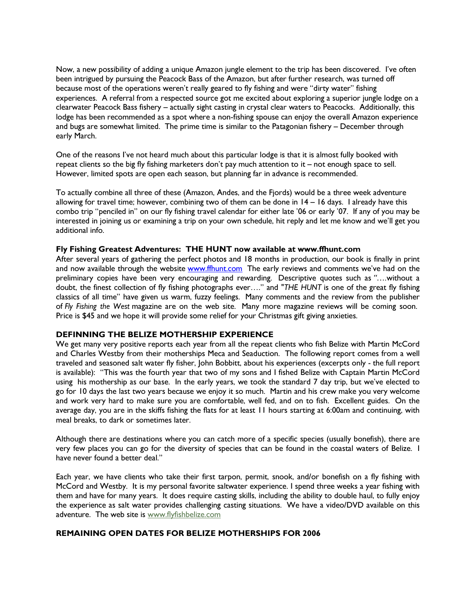Now, a new possibility of adding a unique Amazon jungle element to the trip has been discovered. I've often been intrigued by pursuing the Peacock Bass of the Amazon, but after further research, was turned off because most of the operations weren't really geared to fly fishing and were "dirty water" fishing experiences. A referral from a respected source got me excited about exploring a superior jungle lodge on a clearwater Peacock Bass fishery – actually sight casting in crystal clear waters to Peacocks. Additionally, this lodge has been recommended as a spot where a non-fishing spouse can enjoy the overall Amazon experience and bugs are somewhat limited. The prime time is similar to the Patagonian fishery – December through early March.

One of the reasons I've not heard much about this particular lodge is that it is almost fully booked with repeat clients so the big fly fishing marketers don't pay much attention to it – not enough space to sell. However, limited spots are open each season, but planning far in advance is recommended.

To actually combine all three of these (Amazon, Andes, and the Fjords) would be a three week adventure allowing for travel time; however, combining two of them can be done in 14 – 16 days. I already have this combo trip "penciled in" on our fly fishing travel calendar for either late '06 or early '07. If any of you may be interested in joining us or examining a trip on your own schedule, hit reply and let me know and we'll get you additional info.

#### Fly Fishing Greatest Adventures: THE HUNT now available at www.ffhunt.com

After several years of gathering the perfect photos and 18 months in production, our book is finally in print and now available through the website www.ffhunt.com The early reviews and comments we've had on the preliminary copies have been very encouraging and rewarding. Descriptive quotes such as "….without a doubt, the finest collection of fly fishing photographs ever…." and "THE HUNT is one of the great fly fishing classics of all time" have given us warm, fuzzy feelings. Many comments and the review from the publisher of Fly Fishing the West magazine are on the web site. Many more magazine reviews will be coming soon. Price is \$45 and we hope it will provide some relief for your Christmas gift giving anxieties.

#### DEFINNING THE BELIZE MOTHERSHIP EXPERIENCE

We get many very positive reports each year from all the repeat clients who fish Belize with Martin McCord and Charles Westby from their motherships Meca and Seaduction. The following report comes from a well traveled and seasoned salt water fly fisher, John Bobbitt, about his experiences (excerpts only - the full report is available): "This was the fourth year that two of my sons and I fished Belize with Captain Martin McCord using his mothership as our base. In the early years, we took the standard 7 day trip, but we've elected to go for 10 days the last two years because we enjoy it so much. Martin and his crew make you very welcome and work very hard to make sure you are comfortable, well fed, and on to fish. Excellent guides. On the average day, you are in the skiffs fishing the flats for at least 11 hours starting at 6:00am and continuing, with meal breaks, to dark or sometimes later.

Although there are destinations where you can catch more of a specific species (usually bonefish), there are very few places you can go for the diversity of species that can be found in the coastal waters of Belize. I have never found a better deal."

Each year, we have clients who take their first tarpon, permit, snook, and/or bonefish on a fly fishing with McCord and Westby. It is my personal favorite saltwater experience. I spend three weeks a year fishing with them and have for many years. It does require casting skills, including the ability to double haul, to fully enjoy the experience as salt water provides challenging casting situations. We have a video/DVD available on this adventure. The web site is www.flyfishbelize.com

## REMAINING OPEN DATES FOR BELIZE MOTHERSHIPS FOR 2006